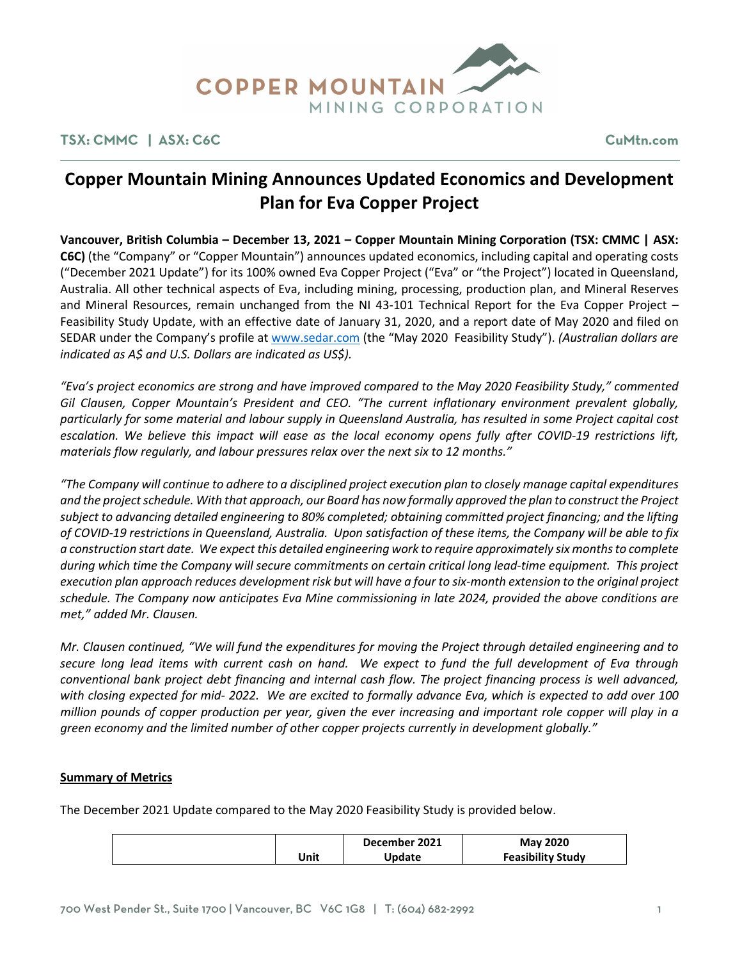

# **Copper Mountain Mining Announces Updated Economics and Development Plan for Eva Copper Project**

**Vancouver, British Columbia – December 13, 2021 – Copper Mountain Mining Corporation (TSX: CMMC | ASX: C6C)** (the "Company" or "Copper Mountain") announces updated economics, including capital and operating costs ("December 2021 Update") for its 100% owned Eva Copper Project ("Eva" or "the Project") located in Queensland, Australia. All other technical aspects of Eva, including mining, processing, production plan, and Mineral Reserves and Mineral Resources, remain unchanged from the NI 43-101 Technical Report for the Eva Copper Project – Feasibility Study Update, with an effective date of January 31, 2020, and a report date of May 2020 and filed on SEDAR under the Company's profile at [www.sedar.com](http://www.sedar.com/) (the "May 2020 Feasibility Study"). *(Australian dollars are indicated as A\$ and U.S. Dollars are indicated as US\$).*

*"Eva's project economics are strong and have improved compared to the May 2020 Feasibility Study," commented Gil Clausen, Copper Mountain's President and CEO. "The current inflationary environment prevalent globally, particularly for some material and labour supply in Queensland Australia, has resulted in some Project capital cost escalation. We believe this impact will ease as the local economy opens fully after COVID-19 restrictions lift, materials flow regularly, and labour pressures relax over the next six to 12 months."* 

*"The Company will continue to adhere to a disciplined project execution plan to closely manage capital expenditures and the project schedule. With that approach, our Board has now formally approved the plan to constructthe Project subject to advancing detailed engineering to 80% completed; obtaining committed project financing; and the lifting of COVID-19 restrictions in Queensland, Australia. Upon satisfaction of these items, the Company will be able to fix a construction start date. We expect this detailed engineering work to require approximately six monthsto complete during which time the Company will secure commitments on certain critical long lead-time equipment. This project execution plan approach reduces development risk but will have a four to six-month extension to the original project schedule. The Company now anticipates Eva Mine commissioning in late 2024, provided the above conditions are met," added Mr. Clausen.*

*Mr. Clausen continued, "We will fund the expenditures for moving the Project through detailed engineering and to secure long lead items with current cash on hand. We expect to fund the full development of Eva through conventional bank project debt financing and internal cash flow. The project financing process is well advanced, with closing expected for mid- 2022. We are excited to formally advance Eva, which is expected to add over 100 million pounds of copper production per year, given the ever increasing and important role copper will play in a green economy and the limited number of other copper projects currently in development globally."*

# **Summary of Metrics**

The December 2021 Update compared to the May 2020 Feasibility Study is provided below.

|      | December 2021 | <b>May 2020</b>          |
|------|---------------|--------------------------|
| Unit | Update        | <b>Feasibility Study</b> |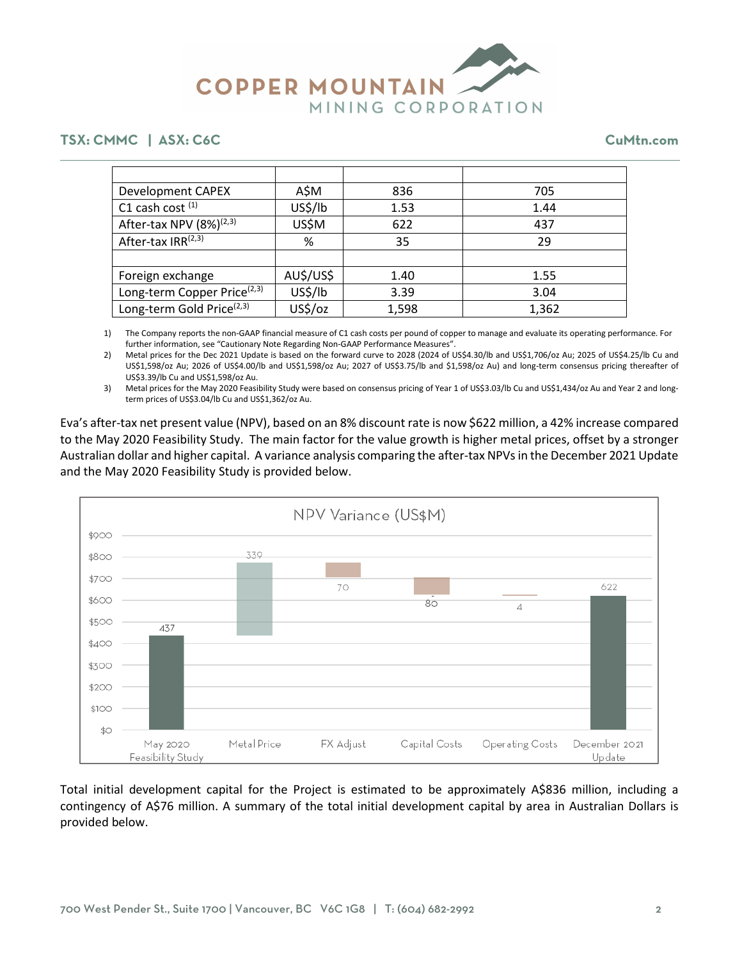

| Development CAPEX                       | A\$M      | 836   | 705   |
|-----------------------------------------|-----------|-------|-------|
| C1 cash cost $(1)$                      | US\$/lb   | 1.53  | 1.44  |
| After-tax NPV $(8\%)^{(2,3)}$           | US\$M     | 622   | 437   |
| After-tax IRR(2,3)                      | %         | 35    | 29    |
|                                         |           |       |       |
| Foreign exchange                        | AU\$/US\$ | 1.40  | 1.55  |
| Long-term Copper Price <sup>(2,3)</sup> | US\$/lb   | 3.39  | 3.04  |
| Long-term Gold Price <sup>(2,3)</sup>   | US\$/oz   | 1,598 | 1,362 |

1) The Company reports the non-GAAP financial measure of C1 cash costs per pound of copper to manage and evaluate its operating performance. For further information, see "Cautionary Note Regarding Non-GAAP Performance Measures".

2) Metal prices for the Dec 2021 Update is based on the forward curve to 2028 (2024 of US\$4.30/lb and US\$1,706/oz Au; 2025 of US\$4.25/lb Cu and US\$1,598/oz Au; 2026 of US\$4.00/lb and US\$1,598/oz Au; 2027 of US\$3.75/lb and \$1,598/oz Au) and long-term consensus pricing thereafter of US\$3.39/lb Cu and US\$1,598/oz Au.

3) Metal prices for the May 2020 Feasibility Study were based on consensus pricing of Year 1 of US\$3.03/lb Cu and US\$1,434/oz Au and Year 2 and longterm prices of US\$3.04/lb Cu and US\$1,362/oz Au.

Eva's after-tax net present value (NPV), based on an 8% discount rate is now \$622 million, a 42% increase compared to the May 2020 Feasibility Study. The main factor for the value growth is higher metal prices, offset by a stronger Australian dollar and higher capital. A variance analysis comparing the after-tax NPVs in the December 2021 Update and the May 2020 Feasibility Study is provided below.



Total initial development capital for the Project is estimated to be approximately A\$836 million, including a contingency of A\$76 million. A summary of the total initial development capital by area in Australian Dollars is provided below.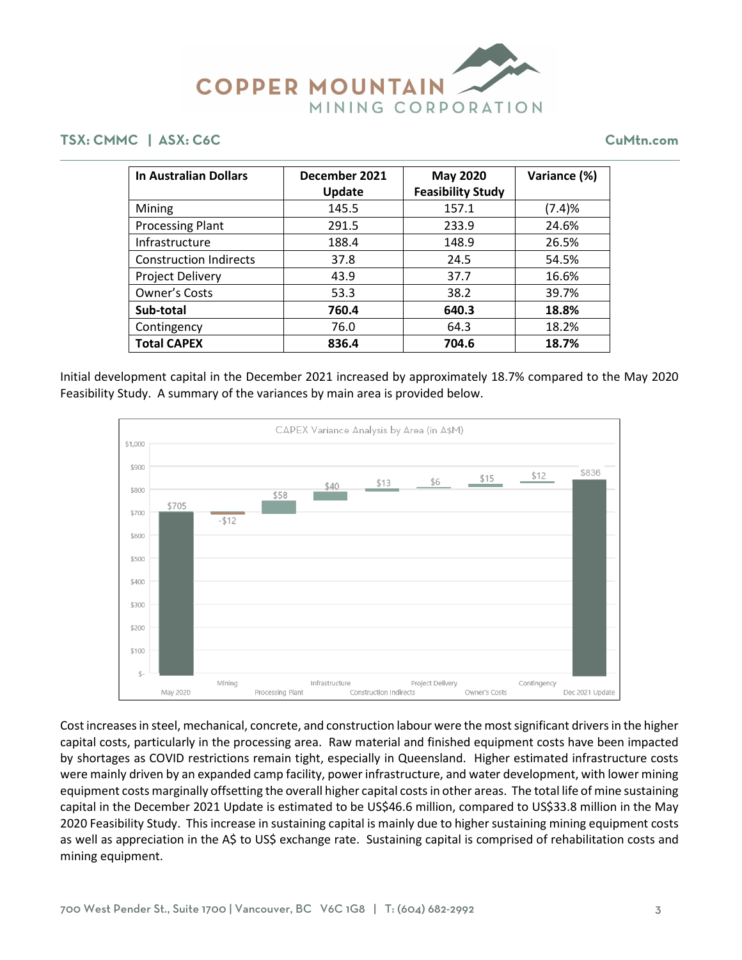

| <b>In Australian Dollars</b>  | December 2021<br>Update | <b>May 2020</b><br><b>Feasibility Study</b> | Variance (%) |
|-------------------------------|-------------------------|---------------------------------------------|--------------|
| Mining                        | 145.5                   | 157.1                                       | (7.4)%       |
| <b>Processing Plant</b>       | 291.5                   | 233.9                                       | 24.6%        |
| Infrastructure                | 188.4                   | 148.9                                       | 26.5%        |
| <b>Construction Indirects</b> | 37.8                    | 24.5                                        | 54.5%        |
| Project Delivery              | 43.9                    | 37.7                                        | 16.6%        |
| Owner's Costs                 | 53.3                    | 38.2                                        | 39.7%        |
| Sub-total                     | 760.4                   | 640.3                                       | 18.8%        |
| Contingency                   | 76.0                    | 64.3                                        | 18.2%        |
| <b>Total CAPEX</b>            | 836.4                   | 704.6                                       | 18.7%        |

Initial development capital in the December 2021 increased by approximately 18.7% compared to the May 2020 Feasibility Study. A summary of the variances by main area is provided below.



Cost increases in steel, mechanical, concrete, and construction labour were the most significant drivers in the higher capital costs, particularly in the processing area. Raw material and finished equipment costs have been impacted by shortages as COVID restrictions remain tight, especially in Queensland. Higher estimated infrastructure costs were mainly driven by an expanded camp facility, power infrastructure, and water development, with lower mining equipment costs marginally offsetting the overall higher capital costs in other areas. The total life of mine sustaining capital in the December 2021 Update is estimated to be US\$46.6 million, compared to US\$33.8 million in the May 2020 Feasibility Study. This increase in sustaining capital is mainly due to higher sustaining mining equipment costs as well as appreciation in the A\$ to US\$ exchange rate. Sustaining capital is comprised of rehabilitation costs and mining equipment.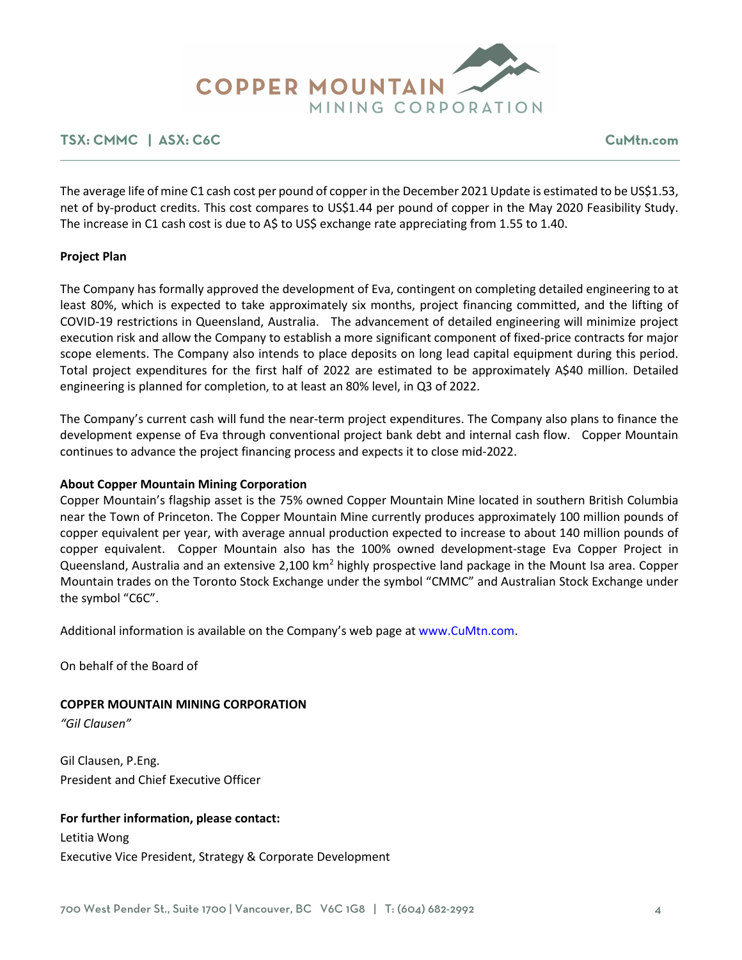

The average life of mine C1 cash cost per pound of copper in the December 2021 Update is estimated to be US\$1.53, net of by-product credits. This cost compares to US\$1.44 per pound of copper in the May 2020 Feasibility Study. The increase in C1 cash cost is due to A\$ to US\$ exchange rate appreciating from 1.55 to 1.40.

# **Project Plan**

The Company has formally approved the development of Eva, contingent on completing detailed engineering to at least 80%, which is expected to take approximately six months, project financing committed, and the lifting of COVID-19 restrictions in Queensland, Australia. The advancement of detailed engineering will minimize project execution risk and allow the Company to establish a more significant component of fixed-price contracts for major scope elements. The Company also intends to place deposits on long lead capital equipment during this period. Total project expenditures for the first half of 2022 are estimated to be approximately A\$40 million. Detailed engineering is planned for completion, to at least an 80% level, in Q3 of 2022.

The Company's current cash will fund the near-term project expenditures. The Company also plans to finance the development expense of Eva through conventional project bank debt and internal cash flow. Copper Mountain continues to advance the project financing process and expects it to close mid-2022.

## **About Copper Mountain Mining Corporation**

Copper Mountain's flagship asset is the 75% owned Copper Mountain Mine located in southern British Columbia near the Town of Princeton. The Copper Mountain Mine currently produces approximately 100 million pounds of copper equivalent per year, with average annual production expected to increase to about 140 million pounds of copper equivalent. Copper Mountain also has the 100% owned development-stage Eva Copper Project in Queensland, Australia and an extensive 2,100 km<sup>2</sup> highly prospective land package in the Mount Isa area. Copper Mountain trades on the Toronto Stock Exchange under the symbol "CMMC" and Australian Stock Exchange under the symbol "C6C".

Additional information is available on the Company's web page at www.CuMtn.com.

On behalf of the Board of

**COPPER MOUNTAIN MINING CORPORATION**

*"Gil Clausen"*

Gil Clausen, P.Eng. President and Chief Executive Officer

# **For further information, please contact:**

Letitia Wong Executive Vice President, Strategy & Corporate Development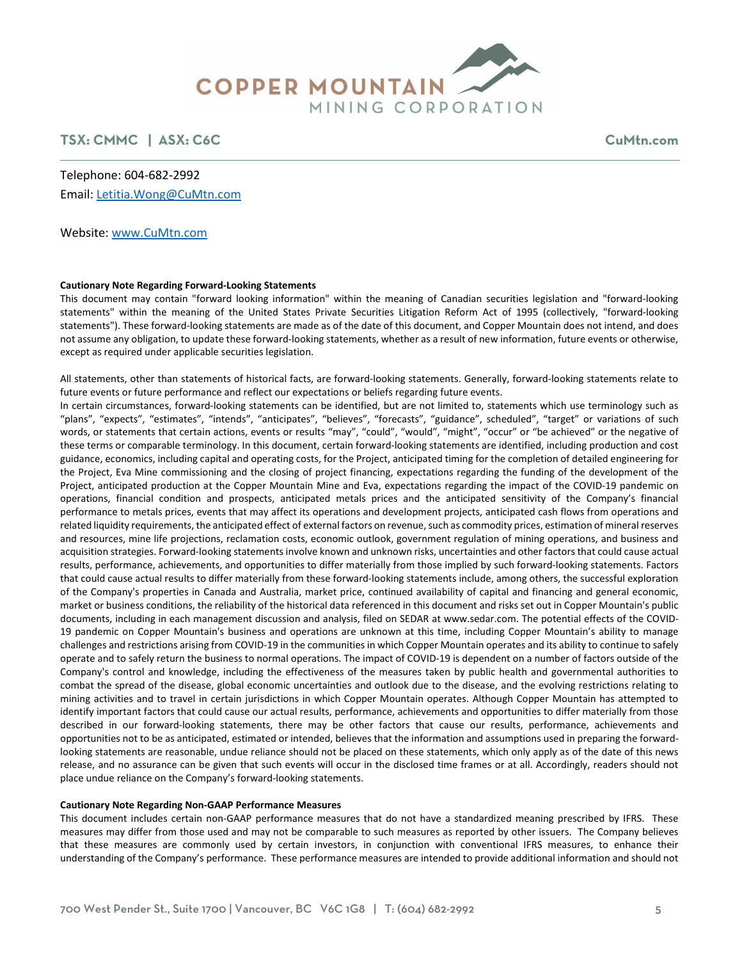

Telephone: 604-682-2992

Email[: Letitia.Wong@CuMtn.com](mailto:Letitia.Wong@CuMtn.com)

Website: [www.CuMtn.com](http://www.cumtn.com/)

### **Cautionary Note Regarding Forward-Looking Statements**

This document may contain "forward looking information" within the meaning of Canadian securities legislation and "forward-looking statements" within the meaning of the United States Private Securities Litigation Reform Act of 1995 (collectively, "forward-looking statements"). These forward-looking statements are made as of the date of this document, and Copper Mountain does not intend, and does not assume any obligation, to update these forward-looking statements, whether as a result of new information, future events or otherwise, except as required under applicable securities legislation.

All statements, other than statements of historical facts, are forward-looking statements. Generally, forward-looking statements relate to future events or future performance and reflect our expectations or beliefs regarding future events.

In certain circumstances, forward-looking statements can be identified, but are not limited to, statements which use terminology such as "plans", "expects", "estimates", "intends", "anticipates", "believes", "forecasts", "guidance", scheduled", "target" or variations of such words, or statements that certain actions, events or results "may", "could", "would", "might", "occur" or "be achieved" or the negative of these terms or comparable terminology. In this document, certain forward-looking statements are identified, including production and cost guidance, economics, including capital and operating costs, for the Project, anticipated timing for the completion of detailed engineering for the Project, Eva Mine commissioning and the closing of project financing, expectations regarding the funding of the development of the Project, anticipated production at the Copper Mountain Mine and Eva, expectations regarding the impact of the COVID-19 pandemic on operations, financial condition and prospects, anticipated metals prices and the anticipated sensitivity of the Company's financial performance to metals prices, events that may affect its operations and development projects, anticipated cash flows from operations and related liquidity requirements, the anticipated effect of external factors on revenue, such as commodity prices, estimation of mineral reserves and resources, mine life projections, reclamation costs, economic outlook, government regulation of mining operations, and business and acquisition strategies. Forward-looking statements involve known and unknown risks, uncertainties and other factors that could cause actual results, performance, achievements, and opportunities to differ materially from those implied by such forward-looking statements. Factors that could cause actual results to differ materially from these forward-looking statements include, among others, the successful exploration of the Company's properties in Canada and Australia, market price, continued availability of capital and financing and general economic, market or business conditions, the reliability of the historical data referenced in this document and risks set out in Copper Mountain's public documents, including in each management discussion and analysis, filed on SEDAR at www.sedar.com. The potential effects of the COVID-19 pandemic on Copper Mountain's business and operations are unknown at this time, including Copper Mountain's ability to manage challenges and restrictions arising from COVID-19 in the communities in which Copper Mountain operates and its ability to continue to safely operate and to safely return the business to normal operations. The impact of COVID-19 is dependent on a number of factors outside of the Company's control and knowledge, including the effectiveness of the measures taken by public health and governmental authorities to combat the spread of the disease, global economic uncertainties and outlook due to the disease, and the evolving restrictions relating to mining activities and to travel in certain jurisdictions in which Copper Mountain operates. Although Copper Mountain has attempted to identify important factors that could cause our actual results, performance, achievements and opportunities to differ materially from those described in our forward-looking statements, there may be other factors that cause our results, performance, achievements and opportunities not to be as anticipated, estimated or intended, believes that the information and assumptions used in preparing the forwardlooking statements are reasonable, undue reliance should not be placed on these statements, which only apply as of the date of this news release, and no assurance can be given that such events will occur in the disclosed time frames or at all. Accordingly, readers should not place undue reliance on the Company's forward-looking statements.

### **Cautionary Note Regarding Non-GAAP Performance Measures**

This document includes certain non-GAAP performance measures that do not have a standardized meaning prescribed by IFRS. These measures may differ from those used and may not be comparable to such measures as reported by other issuers. The Company believes that these measures are commonly used by certain investors, in conjunction with conventional IFRS measures, to enhance their understanding of the Company's performance. These performance measures are intended to provide additional information and should not